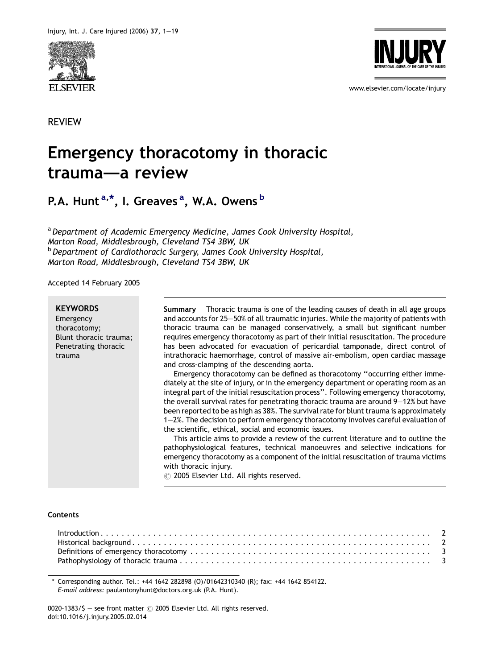





www.elsevier.com/locate/injury

# Emergency thoracotomy in thoracic trauma–—a review

P.A. Hunt <sup>a,\*</sup>, I. Greaves <sup>a</sup>, W.A. Owens <sup>b</sup>

<sup>a</sup> Department of Academic Emergency Medicine, James Cook University Hospital, Marton Road, Middlesbrough, Cleveland TS4 3BW, UK **b** Department of Cardiothoracic Surgery, James Cook University Hospital, Marton Road, Middlesbrough, Cleveland TS4 3BW, UK

Accepted 14 February 2005

**KEYWORDS** 

Emergency thoracotomy; Blunt thoracic trauma; Penetrating thoracic trauma

Summary Thoracic trauma is one of the leading causes of death in all age groups and accounts for 25—50% of all traumatic injuries. While the majority of patients with thoracic trauma can be managed conservatively, a small but significant number requires emergency thoracotomy as part of their initial resuscitation. The procedure has been advocated for evacuation of pericardial tamponade, direct control of intrathoracic haemorrhage, control of massive air-embolism, open cardiac massage and cross-clamping of the descending aorta.

Emergency thoracotomy can be defined as thoracotomy ''occurring either immediately at the site of injury, or in the emergency department or operating room as an integral part of the initial resuscitation process''. Following emergency thoracotomy, the overall survival rates for penetrating thoracic trauma are around 9—12% but have been reported to be as high as 38%. The survival rate for blunt trauma is approximately 1—2%. The decision to perform emergency thoracotomy involves careful evaluation of the scientific, ethical, social and economic issues.

This article aims to provide a review of the current literature and to outline the pathophysiological features, technical manoeuvres and selective indications for emergency thoracotomy as a component of the initial resuscitation of trauma victims with thoracic injury.

 $\circ$  2005 Elsevier Ltd. All rights reserved.

#### **Contents**

\* Corresponding author. Tel.: +44 1642 282898 (O)/01642310340 (R); fax: +44 1642 854122. E-mail address: paulantonyhunt@doctors.org.uk (P.A. Hunt).

0020-1383/\$ - see front matter  $\odot$  2005 Elsevier Ltd. All rights reserved. doi:10.1016/j.injury.2005.02.014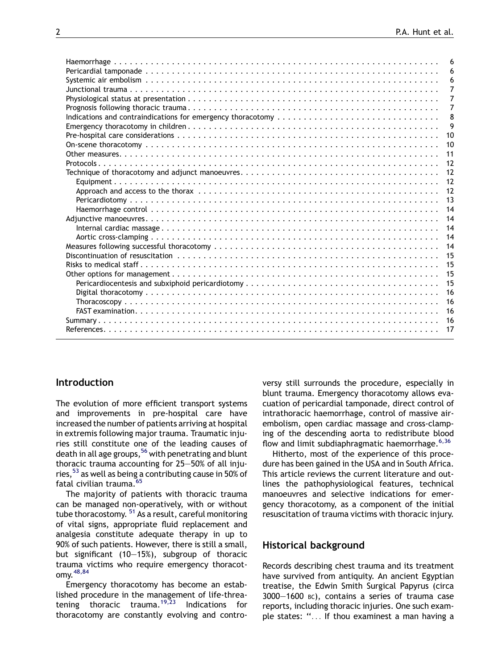|                                                                                                                                                                                                                                                                                                                                                                                         | 6  |
|-----------------------------------------------------------------------------------------------------------------------------------------------------------------------------------------------------------------------------------------------------------------------------------------------------------------------------------------------------------------------------------------|----|
|                                                                                                                                                                                                                                                                                                                                                                                         | 6  |
|                                                                                                                                                                                                                                                                                                                                                                                         | 6  |
|                                                                                                                                                                                                                                                                                                                                                                                         | 7  |
|                                                                                                                                                                                                                                                                                                                                                                                         | 7  |
|                                                                                                                                                                                                                                                                                                                                                                                         | 7  |
| Indications and contraindications for emergency thoracotomy                                                                                                                                                                                                                                                                                                                             | 8  |
|                                                                                                                                                                                                                                                                                                                                                                                         | 9  |
|                                                                                                                                                                                                                                                                                                                                                                                         | 10 |
|                                                                                                                                                                                                                                                                                                                                                                                         | 10 |
|                                                                                                                                                                                                                                                                                                                                                                                         | 11 |
|                                                                                                                                                                                                                                                                                                                                                                                         |    |
|                                                                                                                                                                                                                                                                                                                                                                                         | 12 |
|                                                                                                                                                                                                                                                                                                                                                                                         | 12 |
|                                                                                                                                                                                                                                                                                                                                                                                         |    |
|                                                                                                                                                                                                                                                                                                                                                                                         |    |
|                                                                                                                                                                                                                                                                                                                                                                                         | 14 |
|                                                                                                                                                                                                                                                                                                                                                                                         | 14 |
|                                                                                                                                                                                                                                                                                                                                                                                         | 14 |
|                                                                                                                                                                                                                                                                                                                                                                                         | 14 |
|                                                                                                                                                                                                                                                                                                                                                                                         | 14 |
|                                                                                                                                                                                                                                                                                                                                                                                         | 15 |
|                                                                                                                                                                                                                                                                                                                                                                                         |    |
|                                                                                                                                                                                                                                                                                                                                                                                         | 15 |
|                                                                                                                                                                                                                                                                                                                                                                                         | 15 |
|                                                                                                                                                                                                                                                                                                                                                                                         | 16 |
| $\textit{Thoracoscopy} \textit{} \textit{} \textit{} \textit{} \textit{} \textit{} \textit{} \textit{} \textit{} \textit{} \textit{} \textit{} \textit{} \textit{} \textit{} \textit{} \textit{} \textit{} \textit{} \textit{} \textit{} \textit{} \textit{} \textit{} \textit{} \textit{} \textit{} \textit{} \textit{} \textit{} \textit{} \textit{} \textit{} \textit{} \textit{} \$ | 16 |
|                                                                                                                                                                                                                                                                                                                                                                                         | 16 |
|                                                                                                                                                                                                                                                                                                                                                                                         |    |
|                                                                                                                                                                                                                                                                                                                                                                                         |    |
|                                                                                                                                                                                                                                                                                                                                                                                         |    |

## Introduction

The evolution of more efficient transport systems and improvements in pre-hospital care have increased the number of patients arriving at hospital in extremis following major trauma. Traumatic injuries still constitute one of the leading causes of death in all age groups,<sup>[56](#page-17-0)</sup> with penetrating and blunt thoracic trauma accounting for 25—50% of all injuries,  $53$  as well as being a contributing cause in 50% of fatal civilian trauma.[65](#page-17-0)

The majority of patients with thoracic trauma can be managed non-operatively, with or without tube thoracostomy.  $51$  As a result, careful monitoring of vital signs, appropriate fluid replacement and analgesia constitute adequate therapy in up to 90% of such patients. However, there is still a small, but significant (10—15%), subgroup of thoracic trauma victims who require emergency thoracotomy.[48,84](#page-17-0)

Emergency thoracotomy has become an established procedure in the management of life-threa-tening thoracic trauma.<sup>[19,23](#page-16-0)</sup> Indications for thoracotomy are constantly evolving and controversy still surrounds the procedure, especially in blunt trauma. Emergency thoracotomy allows evacuation of pericardial tamponade, direct control of intrathoracic haemorrhage, control of massive airembolism, open cardiac massage and cross-clamping of the descending aorta to redistribute blood flow and limit subdiaphragmatic haemorrhage. $6,36$ 

Hitherto, most of the experience of this procedure has been gained in the USA and in South Africa. This article reviews the current literature and outlines the pathophysiological features, technical manoeuvres and selective indications for emergency thoracotomy, as a component of the initial resuscitation of trauma victims with thoracic injury.

#### Historical background

Records describing chest trauma and its treatment have survived from antiquity. An ancient Egyptian treatise, the Edwin Smith Surgical Papyrus (circa 3000—1600 BC), contains a series of trauma case reports, including thoracic injuries. One such example states: ''... If thou examinest a man having a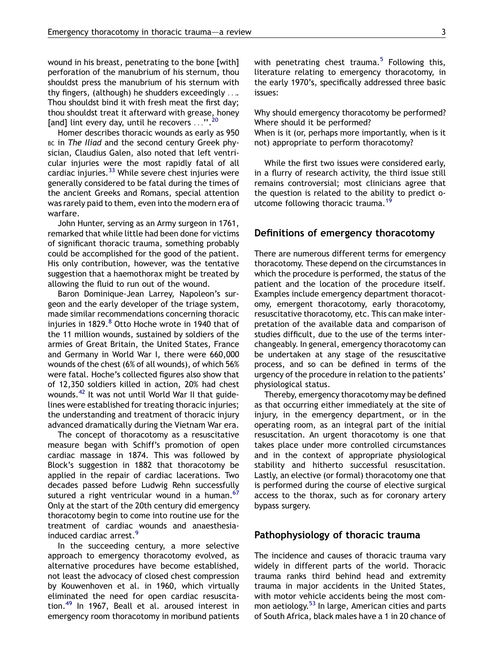wound in his breast, penetrating to the bone [with] perforation of the manubrium of his sternum, thou shouldst press the manubrium of his sternum with thy fingers, (although) he shudders exceedingly .... Thou shouldst bind it with fresh meat the first day; thou shouldst treat it afterward with grease, honey [and] lint every day, until he recovers  $\dots$ ".<sup>[20](#page-16-0)</sup>

Homer describes thoracic wounds as early as 950 BC in The Iliad and the second century Greek physician, Claudius Galen, also noted that left ventricular injuries were the most rapidly fatal of all cardiac injuries.<sup>[33](#page-16-0)</sup> While severe chest injuries were generally considered to be fatal during the times of the ancient Greeks and Romans, special attention was rarely paid to them, even into the modern era of warfare.

John Hunter, serving as an Army surgeon in 1761, remarked that while little had been done for victims of significant thoracic trauma, something probably could be accomplished for the good of the patient. His only contribution, however, was the tentative suggestion that a haemothorax might be treated by allowing the fluid to run out of the wound.

Baron Dominique-Jean Larrey, Napoleon's surgeon and the early developer of the triage system, made similar recommendations concerning thoracic injuries in 1[8](#page-16-0)29.<sup>8</sup> Otto Hoche wrote in 1940 that of the 11 million wounds, sustained by soldiers of the armies of Great Britain, the United States, France and Germany in World War I, there were 660,000 wounds of the chest (6% of all wounds), of which 56% were fatal. Hoche's collected figures also show that of 12,350 soldiers killed in action, 20% had chest wounds.<sup>[42](#page-17-0)</sup> It was not until World War II that guidelines were established for treating thoracic injuries; the understanding and treatment of thoracic injury advanced dramatically during the Vietnam War era.

The concept of thoracotomy as a resuscitative measure began with Schiff's promotion of open cardiac massage in 1874. This was followed by Block's suggestion in 1882 that thoracotomy be applied in the repair of cardiac lacerations. Two decades passed before Ludwig Rehn successfully sutured a right ventricular wound in a human. $67$ Only at the start of the 20th century did emergency thoracotomy begin to come into routine use for the treatment of cardiac wounds and anaesthesiainduced cardiac arrest.

In the succeeding century, a more selective approach to emergency thoracotomy evolved, as alternative procedures have become established, not least the advocacy of closed chest compression by Kouwenhoven et al. in 1960, which virtually eliminated the need for open cardiac resuscitation.[49](#page-17-0) In 1967, Beall et al. aroused interest in emergency room thoracotomy in moribund patients with penetrating chest trauma.<sup>[5](#page-16-0)</sup> Following this, literature relating to emergency thoracotomy, in the early 1970's, specifically addressed three basic issues:

Why should emergency thoracotomy be performed? Where should it be performed?

When is it (or, perhaps more importantly, when is it not) appropriate to perform thoracotomy?

While the first two issues were considered early, in a flurry of research activity, the third issue still remains controversial; most clinicians agree that the question is related to the ability to predict o-utcome following thoracic trauma.<sup>[19](#page-16-0)</sup>

#### Definitions of emergency thoracotomy

There are numerous different terms for emergency thoracotomy. These depend on the circumstances in which the procedure is performed, the status of the patient and the location of the procedure itself. Examples include emergency department thoracotomy, emergent thoracotomy, early thoracotomy, resuscitative thoracotomy, etc. This can make interpretation of the available data and comparison of studies difficult, due to the use of the terms interchangeably. In general, emergency thoracotomy can be undertaken at any stage of the resuscitative process, and so can be defined in terms of the urgency of the procedure in relation to the patients' physiological status.

Thereby, emergency thoracotomy may be defined as that occurring either immediately at the site of injury, in the emergency department, or in the operating room, as an integral part of the initial resuscitation. An urgent thoracotomy is one that takes place under more controlled circumstances and in the context of appropriate physiological stability and hitherto successful resuscitation. Lastly, an elective (or formal) thoracotomy one that is performed during the course of elective surgical access to the thorax, such as for coronary artery bypass surgery.

## Pathophysiology of thoracic trauma

The incidence and causes of thoracic trauma vary widely in different parts of the world. Thoracic trauma ranks third behind head and extremity trauma in major accidents in the United States, with motor vehicle accidents being the most common aetiology.[53](#page-17-0) In large, American cities and parts of South Africa, black males have a 1 in 20 chance of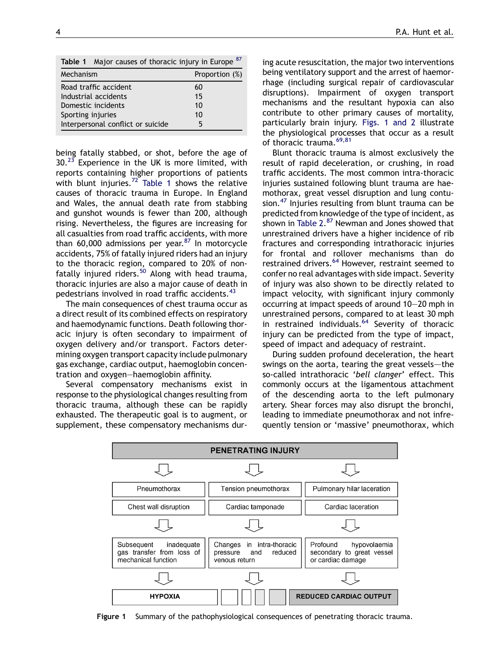| Table 1 Major causes of thoracic injury in Europe 87 |                |
|------------------------------------------------------|----------------|
| Mechanism                                            | Proportion (%) |
| Road traffic accident                                | 60             |
| Industrial accidents                                 | 15             |
| Domestic incidents                                   | 10             |
| Sporting injuries                                    | 10             |
| Interpersonal conflict or suicide                    |                |

being fatally stabbed, or shot, before the age of  $30.^{23}$  $30.^{23}$  $30.^{23}$  Experience in the UK is more limited, with reports containing higher proportions of patients with blunt injuries.<sup>[72](#page-17-0)</sup> Table 1 shows the relative causes of thoracic trauma in Europe. In England and Wales, the annual death rate from stabbing and gunshot wounds is fewer than 200, although rising. Nevertheless, the figures are increasing for all casualties from road traffic accidents, with more than 60,000 admissions per year. $87$  In motorcycle accidents, 75% of fatally injured riders had an injury to the thoracic region, compared to 20% of non-fatally injured riders.<sup>[50](#page-17-0)</sup> Along with head trauma, thoracic injuries are also a major cause of death in pedestrians involved in road traffic accidents.<sup>[43](#page-17-0)</sup>

The main consequences of chest trauma occur as a direct result of its combined effects on respiratory and haemodynamic functions. Death following thoracic injury is often secondary to impairment of oxygen delivery and/or transport. Factors determining oxygen transport capacity include pulmonary gas exchange, cardiac output, haemoglobin concentration and oxygen—haemoglobin affinity.

Several compensatory mechanisms exist in response to the physiological changes resulting from thoracic trauma, although these can be rapidly exhausted. The therapeutic goal is to augment, or supplement, these compensatory mechanisms during acute resuscitation, the major two interventions being ventilatory support and the arrest of haemorrhage (including surgical repair of cardiovascular disruptions). Impairment of oxygen transport mechanisms and the resultant hypoxia can also contribute to other primary causes of mortality, particularly brain injury. Figs. 1 and 2 illustrate the physiological processes that occur as a result of thoracic trauma.<sup>[69,81](#page-17-0)</sup>

Blunt thoracic trauma is almost exclusively the result of rapid deceleration, or crushing, in road traffic accidents. The most common intra-thoracic injuries sustained following blunt trauma are haemothorax, great vessel disruption and lung contu-sion.<sup>[47](#page-17-0)</sup> Injuries resulting from blunt trauma can be predicted from knowledge of the type of incident, as shown in [Table 2.](#page-4-0) [87](#page-18-0) Newman and Jones showed that unrestrained drivers have a higher incidence of rib fractures and corresponding intrathoracic injuries for frontal and rollover mechanisms than do restrained drivers.<sup>[64](#page-17-0)</sup> However, restraint seemed to confer no real advantages with side impact. Severity of injury was also shown to be directly related to impact velocity, with significant injury commonly occurring at impact speeds of around 10—20 mph in unrestrained persons, compared to at least 30 mph in restrained individuals. $64$  Severity of thoracic injury can be predicted from the type of impact. speed of impact and adequacy of restraint.

During sudden profound deceleration, the heart swings on the aorta, tearing the great vessels-the so-called intrathoracic 'bell clanger' effect. This commonly occurs at the ligamentous attachment of the descending aorta to the left pulmonary artery. Shear forces may also disrupt the bronchi, leading to immediate pneumothorax and not infrequently tension or 'massive' pneumothorax, which



Figure 1 Summary of the pathophysiological consequences of penetrating thoracic trauma.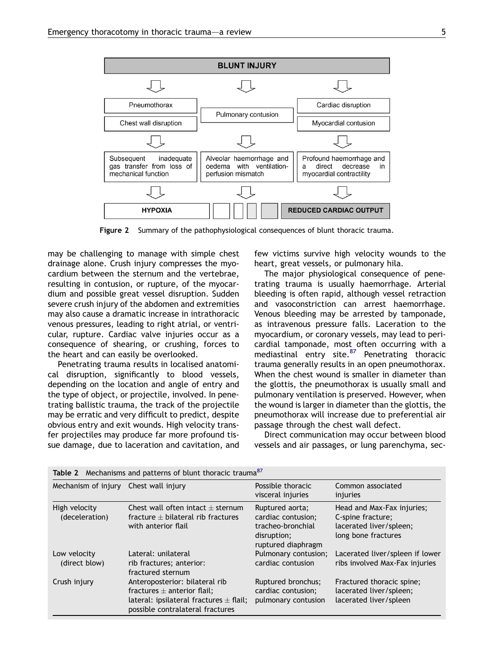<span id="page-4-0"></span>

Figure 2 Summary of the pathophysiological consequences of blunt thoracic trauma.

may be challenging to manage with simple chest drainage alone. Crush injury compresses the myocardium between the sternum and the vertebrae, resulting in contusion, or rupture, of the myocardium and possible great vessel disruption. Sudden severe crush injury of the abdomen and extremities may also cause a dramatic increase in intrathoracic venous pressures, leading to right atrial, or ventricular, rupture. Cardiac valve injuries occur as a consequence of shearing, or crushing, forces to the heart and can easily be overlooked.

Penetrating trauma results in localised anatomical disruption, significantly to blood vessels, depending on the location and angle of entry and the type of object, or projectile, involved. In penetrating ballistic trauma, the track of the projectile may be erratic and very difficult to predict, despite obvious entry and exit wounds. High velocity transfer projectiles may produce far more profound tissue damage, due to laceration and cavitation, and few victims survive high velocity wounds to the heart, great vessels, or pulmonary hila.

The major physiological consequence of penetrating trauma is usually haemorrhage. Arterial bleeding is often rapid, although vessel retraction and vasoconstriction can arrest haemorrhage. Venous bleeding may be arrested by tamponade, as intravenous pressure falls. Laceration to the myocardium, or coronary vessels, may lead to pericardial tamponade, most often occurring with a mediastinal entry site.<sup>[87](#page-18-0)</sup> Penetrating thoracic trauma generally results in an open pneumothorax. When the chest wound is smaller in diameter than the glottis, the pneumothorax is usually small and pulmonary ventilation is preserved. However, when the wound is larger in diameter than the glottis, the pneumothorax will increase due to preferential air passage through the chest wall defect.

Direct communication may occur between blood vessels and air passages, or lung parenchyma, sec-

| Table 2 Mechanisms and patterns of blunt thoracic trauma <sup>87</sup> |                                                                                                                                                      |                                                                                                 |                                                                                                   |
|------------------------------------------------------------------------|------------------------------------------------------------------------------------------------------------------------------------------------------|-------------------------------------------------------------------------------------------------|---------------------------------------------------------------------------------------------------|
| Mechanism of injury                                                    | Chest wall injury                                                                                                                                    | Possible thoracic<br>visceral injuries                                                          | Common associated<br>injuries                                                                     |
| High velocity<br>(deceleration)                                        | Chest wall often intact $\pm$ sternum<br>fracture $+$ bilateral rib fractures<br>with anterior flail                                                 | Ruptured aorta;<br>cardiac contusion;<br>tracheo-bronchial<br>disruption;<br>ruptured diaphragm | Head and Max-Fax injuries;<br>C-spine fracture;<br>lacerated liver/spleen;<br>long bone fractures |
| Low velocity<br>(direct blow)                                          | Lateral: unilateral<br>rib fractures; anterior:<br>fractured sternum                                                                                 | Pulmonary contusion;<br>cardiac contusion                                                       | Lacerated liver/spleen if lower<br>ribs involved Max-Fax injuries                                 |
| Crush injury                                                           | Anteroposterior: bilateral rib<br>fractures $\pm$ anterior flail:<br>lateral: ipsilateral fractures $\pm$ flail;<br>possible contralateral fractures | <b>Ruptured bronchus:</b><br>cardiac contusion;<br>pulmonary contusion                          | Fractured thoracic spine;<br>lacerated liver/spleen;<br>lacerated liver/spleen                    |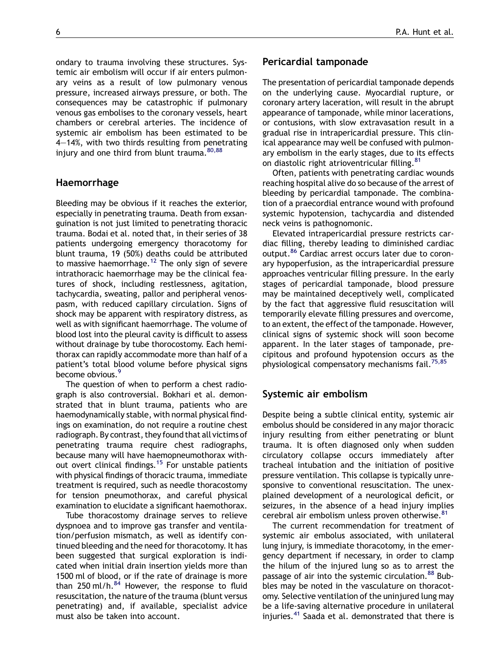ondary to trauma involving these structures. Systemic air embolism will occur if air enters pulmonary veins as a result of low pulmonary venous pressure, increased airways pressure, or both. The consequences may be catastrophic if pulmonary venous gas embolises to the coronary vessels, heart chambers or cerebral arteries. The incidence of systemic air embolism has been estimated to be 4—14%, with two thirds resulting from penetrating injury and one third from blunt trauma.  $80,88$ 

## Haemorrhage

Bleeding may be obvious if it reaches the exterior, especially in penetrating trauma. Death from exsanguination is not just limited to penetrating thoracic trauma. Bodai et al. noted that, in their series of 38 patients undergoing emergency thoracotomy for blunt trauma, 19 (50%) deaths could be attributed to massive haemorrhage.<sup>[12](#page-16-0)</sup> The only sign of severe intrathoracic haemorrhage may be the clinical features of shock, including restlessness, agitation, tachycardia, sweating, pallor and peripheral venospasm, with reduced capillary circulation. Signs of shock may be apparent with respiratory distress, as well as with significant haemorrhage. The volume of blood lost into the pleural cavity is difficult to assess without drainage by tube thorocostomy. Each hemithorax can rapidly accommodate more than half of a patient's total blood volume before physical signs become obvious.<sup>[9](#page-16-0)</sup>

The question of when to perform a chest radiograph is also controversial. Bokhari et al. demonstrated that in blunt trauma, patients who are haemodynamically stable, with normal physical findings on examination, do not require a routine chest radiograph. By contrast, they found that all victims of penetrating trauma require chest radiographs, because many will have haemopneumothorax without overt clinical findings.<sup>15</sup> For unstable patients with physical findings of thoracic trauma, immediate treatment is required, such as needle thoracostomy for tension pneumothorax, and careful physical examination to elucidate a significant haemothorax.

Tube thoracostomy drainage serves to relieve dyspnoea and to improve gas transfer and ventilation/perfusion mismatch, as well as identify continued bleeding and the need for thoracotomy. It has been suggested that surgical exploration is indicated when initial drain insertion yields more than 1500 ml of blood, or if the rate of drainage is more than 250 ml/h. $^{84}$  $^{84}$  $^{84}$  However, the response to fluid resuscitation, the nature of the trauma (blunt versus penetrating) and, if available, specialist advice must also be taken into account.

## Pericardial tamponade

The presentation of pericardial tamponade depends on the underlying cause. Myocardial rupture, or coronary artery laceration, will result in the abrupt appearance of tamponade, while minor lacerations, or contusions, with slow extravasation result in a gradual rise in intrapericardial pressure. This clinical appearance may well be confused with pulmonary embolism in the early stages, due to its effects on diastolic right atrioventricular filling.<sup>[81](#page-17-0)</sup>

Often, patients with penetrating cardiac wounds reaching hospital alive do so because of the arrest of bleeding by pericardial tamponade. The combination of a praecordial entrance wound with profound systemic hypotension, tachycardia and distended neck veins is pathognomonic.

Elevated intrapericardial pressure restricts cardiac filling, thereby leading to diminished cardiac output.<sup>[86](#page-18-0)</sup> Cardiac arrest occurs later due to coronary hypoperfusion, as the intrapericardial pressure approaches ventricular filling pressure. In the early stages of pericardial tamponade, blood pressure may be maintained deceptively well, complicated by the fact that aggressive fluid resuscitation will temporarily elevate filling pressures and overcome, to an extent, the effect of the tamponade. However, clinical signs of systemic shock will soon become apparent. In the later stages of tamponade, precipitous and profound hypotension occurs as the physiological compensatory mechanisms fail.<sup>[75,85](#page-17-0)</sup>

#### Systemic air embolism

Despite being a subtle clinical entity, systemic air embolus should be considered in any major thoracic injury resulting from either penetrating or blunt trauma. It is often diagnosed only when sudden circulatory collapse occurs immediately after tracheal intubation and the initiation of positive pressure ventilation. This collapse is typically unresponsive to conventional resuscitation. The unexplained development of a neurological deficit, or seizures, in the absence of a head injury implies cerebral air embolism unless proven otherwise.<sup>[81](#page-17-0)</sup>

The current recommendation for treatment of systemic air embolus associated, with unilateral lung injury, is immediate thoracotomy, in the emergency department if necessary, in order to clamp the hilum of the injured lung so as to arrest the passage of air into the systemic circulation.<sup>[88](#page-18-0)</sup> Bubbles may be noted in the vasculature on thoracotomy. Selective ventilation of the uninjured lung may be a life-saving alternative procedure in unilateral injuries.[41](#page-17-0) Saada et al. demonstrated that there is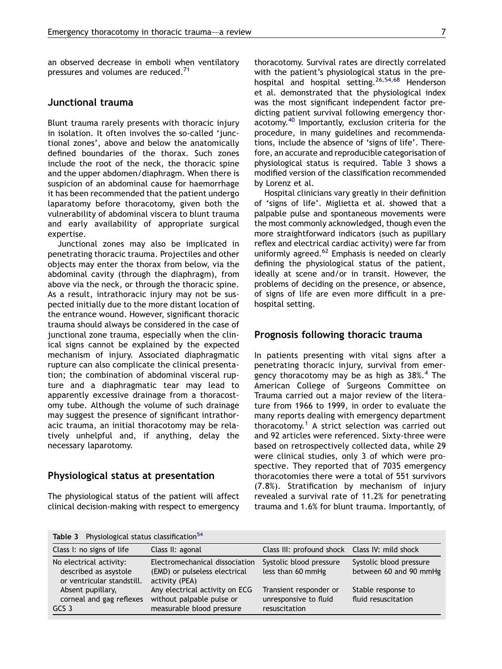an observed decrease in emboli when ventilatory pressures and volumes are reduced.<sup>[71](#page-17-0)</sup>

# Junctional trauma

Blunt trauma rarely presents with thoracic injury in isolation. It often involves the so-called 'junctional zones', above and below the anatomically defined boundaries of the thorax. Such zones include the root of the neck, the thoracic spine and the upper abdomen/diaphragm. When there is suspicion of an abdominal cause for haemorrhage it has been recommended that the patient undergo laparatomy before thoracotomy, given both the vulnerability of abdominal viscera to blunt trauma and early availability of appropriate surgical expertise.

Junctional zones may also be implicated in penetrating thoracic trauma. Projectiles and other objects may enter the thorax from below, via the abdominal cavity (through the diaphragm), from above via the neck, or through the thoracic spine. As a result, intrathoracic injury may not be suspected initially due to the more distant location of the entrance wound. However, significant thoracic trauma should always be considered in the case of junctional zone trauma, especially when the clinical signs cannot be explained by the expected mechanism of injury. Associated diaphragmatic rupture can also complicate the clinical presentation; the combination of abdominal visceral rupture and a diaphragmatic tear may lead to apparently excessive drainage from a thoracostomy tube. Although the volume of such drainage may suggest the presence of significant intrathoracic trauma, an initial thoracotomy may be relatively unhelpful and, if anything, delay the necessary laparotomy.

# Physiological status at presentation

The physiological status of the patient will affect clinical decision-making with respect to emergency thoracotomy. Survival rates are directly correlated with the patient's physiological status in the pre-hospital and hospital setting.<sup>[26,54,68](#page-16-0)</sup> Henderson et al. demonstrated that the physiological index was the most significant independent factor predicting patient survival following emergency thoracotomy.[40](#page-17-0) Importantly, exclusion criteria for the procedure, in many guidelines and recommendations, include the absence of 'signs of life'. Therefore, an accurate and reproducible categorisation of physiological status is required. Table 3 shows a modified version of the classification recommended by Lorenz et al.

Hospital clinicians vary greatly in their definition of 'signs of life'. Miglietta et al. showed that a palpable pulse and spontaneous movements were the most commonly acknowledged, though even the more straightforward indicators (such as pupillary reflex and electrical cardiac activity) were far from uniformly agreed.<sup>[62](#page-17-0)</sup> Emphasis is needed on clearly defining the physiological status of the patient, ideally at scene and/or in transit. However, the problems of deciding on the presence, or absence, of signs of life are even more difficult in a prehospital setting.

## Prognosis following thoracic trauma

In patients presenting with vital signs after a penetrating thoracic injury, survival from emergency thoracotomy may be as high as  $38\%$ .<sup>[4](#page-16-0)</sup> The American College of Surgeons Committee on Trauma carried out a major review of the literature from 1966 to 1999, in order to evaluate the many reports dealing with emergency department thoracotomy.<sup>[1](#page-16-0)</sup> A strict selection was carried out and 92 articles were referenced. Sixty-three were based on retrospectively collected data, while 29 were clinical studies, only 3 of which were prospective. They reported that of 7035 emergency thoracotomies there were a total of 551 survivors (7.8%). Stratification by mechanism of injury revealed a survival rate of 11.2% for penetrating trauma and 1.6% for blunt trauma. Importantly, of

Table 3 Physiological status classification[54](#page-17-0)

| Table 3 - FIIYSIOWEICAL SLATUS CLASSIFICATION                                  |                                                                                          |                                                                  |                                                   |
|--------------------------------------------------------------------------------|------------------------------------------------------------------------------------------|------------------------------------------------------------------|---------------------------------------------------|
| Class I: no signs of life                                                      | Class II: agonal                                                                         | Class III: profound shock Class IV: mild shock                   |                                                   |
| No electrical activity:<br>described as asystole<br>or ventricular standstill. | Electromechanical dissociation<br>(EMD) or pulseless electrical<br>activity (PEA)        | Systolic blood pressure<br>less than 60 mmHg                     | Systolic blood pressure<br>between 60 and 90 mmHg |
| Absent pupillary,<br>corneal and gag reflexes<br>GCS 3                         | Any electrical activity on ECG<br>without palpable pulse or<br>measurable blood pressure | Transient responder or<br>unresponsive to fluid<br>resuscitation | Stable response to<br>fluid resuscitation         |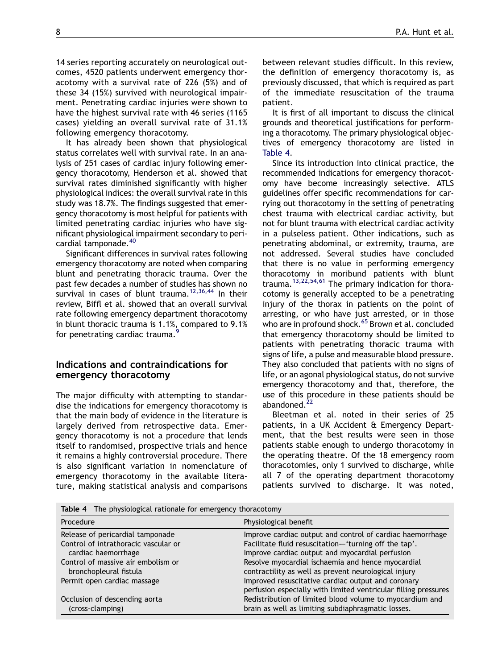14 series reporting accurately on neurological outcomes, 4520 patients underwent emergency thoracotomy with a survival rate of 226 (5%) and of these 34 (15%) survived with neurological impairment. Penetrating cardiac injuries were shown to have the highest survival rate with 46 series (1165 cases) yielding an overall survival rate of 31.1% following emergency thoracotomy.

It has already been shown that physiological status correlates well with survival rate. In an analysis of 251 cases of cardiac injury following emergency thoracotomy, Henderson et al. showed that survival rates diminished significantly with higher physiological indices: the overall survival rate in this study was 18.7%. The findings suggested that emergency thoracotomy is most helpful for patients with limited penetrating cardiac injuries who have significant physiological impairment secondary to peri-cardial tamponade.<sup>[40](#page-17-0)</sup>

Significant differences in survival rates following emergency thoracotomy are noted when comparing blunt and penetrating thoracic trauma. Over the past few decades a number of studies has shown no survival in cases of blunt trauma.<sup>[12,36,44](#page-16-0)</sup> In their review, Biffl et al. showed that an overall survival rate following emergency department thoracotomy in blunt thoracic trauma is 1.1%, compared to 9.1% for penetrating cardiac trauma.<sup>[9](#page-16-0)</sup>

## Indications and contraindications for emergency thoracotomy

The major difficulty with attempting to standardise the indications for emergency thoracotomy is that the main body of evidence in the literature is largely derived from retrospective data. Emergency thoracotomy is not a procedure that lends itself to randomised, prospective trials and hence it remains a highly controversial procedure. There is also significant variation in nomenclature of emergency thoracotomy in the available literature, making statistical analysis and comparisons

between relevant studies difficult. In this review, the definition of emergency thoracotomy is, as previously discussed, that which is required as part of the immediate resuscitation of the trauma patient.

It is first of all important to discuss the clinical grounds and theoretical justifications for performing a thoracotomy. The primary physiological objectives of emergency thoracotomy are listed in Table 4.

Since its introduction into clinical practice, the recommended indications for emergency thoracotomy have become increasingly selective. ATLS guidelines offer specific recommendations for carrying out thoracotomy in the setting of penetrating chest trauma with electrical cardiac activity, but not for blunt trauma with electrical cardiac activity in a pulseless patient. Other indications, such as penetrating abdominal, or extremity, trauma, are not addressed. Several studies have concluded that there is no value in performing emergency thoracotomy in moribund patients with blunt trauma.<sup>[13,22,54,61](#page-16-0)</sup> The primary indication for thoracotomy is generally accepted to be a penetrating injury of the thorax in patients on the point of arresting, or who have just arrested, or in those who are in profound shock.<sup>[65](#page-17-0)</sup> Brown et al. concluded that emergency thoracotomy should be limited to patients with penetrating thoracic trauma with signs of life, a pulse and measurable blood pressure. They also concluded that patients with no signs of life, or an agonal physiological status, do not survive emergency thoracotomy and that, therefore, the use of this procedure in these patients should be abandoned.<sup>[22](#page-16-0)</sup>

Bleetman et al. noted in their series of 25 patients, in a UK Accident & Emergency Department, that the best results were seen in those patients stable enough to undergo thoracotomy in the operating theatre. Of the 18 emergency room thoracotomies, only 1 survived to discharge, while all 7 of the operating department thoracotomy patients survived to discharge. It was noted,

Table 4 The physiological rationale for emergency thoracotomy

| Procedure                            | Physiological benefit                                           |
|--------------------------------------|-----------------------------------------------------------------|
| Release of pericardial tamponade     | Improve cardiac output and control of cardiac haemorrhage       |
| Control of intrathoracic vascular or | Facilitate fluid resuscitation-'turning off the tap'.           |
| cardiac haemorrhage                  | Improve cardiac output and myocardial perfusion                 |
| Control of massive air embolism or   | Resolve myocardial ischaemia and hence myocardial               |
| bronchopleural fistula               | contractility as well as prevent neurological injury            |
| Permit open cardiac massage          | Improved resuscitative cardiac output and coronary              |
|                                      | perfusion especially with limited ventricular filling pressures |
| Occlusion of descending aorta        | Redistribution of limited blood volume to myocardium and        |
| (cross-clamping)                     | brain as well as limiting subdiaphragmatic losses.              |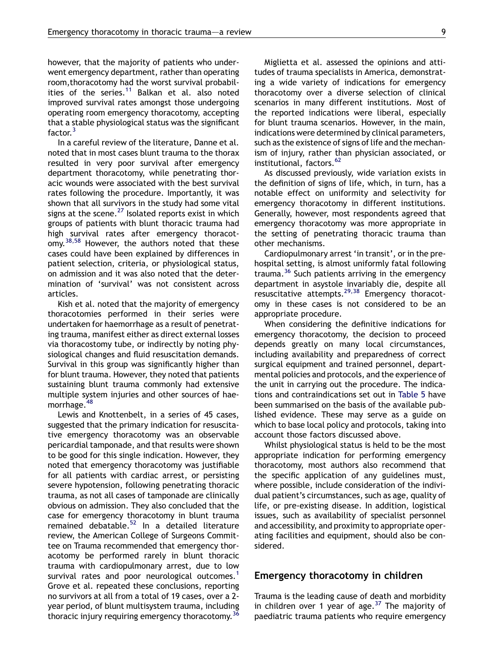however, that the majority of patients who underwent emergency department, rather than operating room,thoracotomy had the worst survival probabil-ities of the series.<sup>[11](#page-16-0)</sup> Balkan et al. also noted improved survival rates amongst those undergoing operating room emergency thoracotomy, accepting that a stable physiological status was the significant factor.<sup>[3](#page-16-0)</sup>

In a careful review of the literature, Danne et al. noted that in most cases blunt trauma to the thorax resulted in very poor survival after emergency department thoracotomy, while penetrating thoracic wounds were associated with the best survival rates following the procedure. Importantly, it was shown that all survivors in the study had some vital signs at the scene. $^{27}$  $^{27}$  $^{27}$  Isolated reports exist in which groups of patients with blunt thoracic trauma had high survival rates after emergency thoracotomy.[38,58](#page-17-0) However, the authors noted that these cases could have been explained by differences in patient selection, criteria, or physiological status, on admission and it was also noted that the determination of 'survival' was not consistent across articles.

Kish et al. noted that the majority of emergency thoracotomies performed in their series were undertaken for haemorrhage as a result of penetrating trauma, manifest either as direct external losses via thoracostomy tube, or indirectly by noting physiological changes and fluid resuscitation demands. Survival in this group was significantly higher than for blunt trauma. However, they noted that patients sustaining blunt trauma commonly had extensive multiple system injuries and other sources of hae-morrhage.<sup>[48](#page-17-0)</sup>

Lewis and Knottenbelt, in a series of 45 cases, suggested that the primary indication for resuscitative emergency thoracotomy was an observable pericardial tamponade, and that results were shown to be good for this single indication. However, they noted that emergency thoracotomy was justifiable for all patients with cardiac arrest, or persisting severe hypotension, following penetrating thoracic trauma, as not all cases of tamponade are clinically obvious on admission. They also concluded that the case for emergency thoracotomy in blunt trauma remained debatable.<sup>[52](#page-17-0)</sup> In a detailed literature review, the American College of Surgeons Committee on Trauma recommended that emergency thoracotomy be performed rarely in blunt thoracic trauma with cardiopulmonary arrest, due to low survival rates and poor neurological outcomes.<sup>[1](#page-16-0)</sup> Grove et al. repeated these conclusions, reporting no survivors at all from a total of 19 cases, over a 2 year period, of blunt multisystem trauma, including thoracic injury requiring emergency thoracotomy.  $36$ 

Miglietta et al. assessed the opinions and attitudes of trauma specialists in America, demonstrating a wide variety of indications for emergency thoracotomy over a diverse selection of clinical scenarios in many different institutions. Most of the reported indications were liberal, especially for blunt trauma scenarios. However, in the main, indications were determined by clinical parameters, such as the existence of signs of life and the mechanism of injury, rather than physician associated, or institutional, factors.<sup>[62](#page-17-0)</sup>

As discussed previously, wide variation exists in the definition of signs of life, which, in turn, has a notable effect on uniformity and selectivity for emergency thoracotomy in different institutions. Generally, however, most respondents agreed that emergency thoracotomy was more appropriate in the setting of penetrating thoracic trauma than other mechanisms.

Cardiopulmonary arrest 'in transit', or in the prehospital setting, is almost uniformly fatal following trauma.[36](#page-16-0) Such patients arriving in the emergency department in asystole invariably die, despite all resuscitative attempts.[29,38](#page-16-0) Emergency thoracotomy in these cases is not considered to be an appropriate procedure.

When considering the definitive indications for emergency thoracotomy, the decision to proceed depends greatly on many local circumstances, including availability and preparedness of correct surgical equipment and trained personnel, departmental policies and protocols, and the experience of the unit in carrying out the procedure. The indications and contraindications set out in [Table 5](#page-9-0) have been summarised on the basis of the available published evidence. These may serve as a guide on which to base local policy and protocols, taking into account those factors discussed above.

Whilst physiological status is held to be the most appropriate indication for performing emergency thoracotomy, most authors also recommend that the specific application of any guidelines must, where possible, include consideration of the individual patient's circumstances, such as age, quality of life, or pre-existing disease. In addition, logistical issues, such as availability of specialist personnel and accessibility, and proximity to appropriate operating facilities and equipment, should also be considered.

#### Emergency thoracotomy in children

Trauma is the leading cause of death and morbidity in children over 1 year of age. $37$  The majority of paediatric trauma patients who require emergency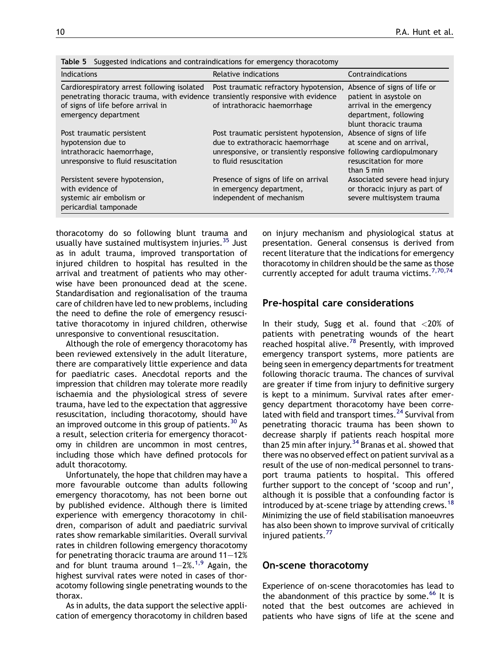| rapie p<br>Suggested indications and contraindications for emergency thoracotomy                                                                                                             |                                                                                                                                                 |                                                                                                                           |
|----------------------------------------------------------------------------------------------------------------------------------------------------------------------------------------------|-------------------------------------------------------------------------------------------------------------------------------------------------|---------------------------------------------------------------------------------------------------------------------------|
| <b>Indications</b>                                                                                                                                                                           | Relative indications                                                                                                                            | Contraindications                                                                                                         |
| Cardiorespiratory arrest following isolated<br>penetrating thoracic trauma, with evidence transiently responsive with evidence<br>of signs of life before arrival in<br>emergency department | Post traumatic refractory hypotension, Absence of signs of life or<br>of intrathoracic haemorrhage                                              | patient in asystole on<br>arrival in the emergency<br>department, following<br>blunt thoracic trauma                      |
| Post traumatic persistent<br>hypotension due to<br>intrathoracic haemorrhage,<br>unresponsive to fluid resuscitation                                                                         | Post traumatic persistent hypotension,<br>due to extrathoracic haemorrhage<br>unresponsive, or transiently responsive<br>to fluid resuscitation | Absence of signs of life<br>at scene and on arrival,<br>following cardiopulmonary<br>resuscitation for more<br>than 5 min |
| Persistent severe hypotension,<br>with evidence of<br>systemic air embolism or<br>pericardial tamponade                                                                                      | Presence of signs of life on arrival<br>in emergency department,<br>independent of mechanism                                                    | Associated severe head injury<br>or thoracic injury as part of<br>severe multisystem trauma                               |

<span id="page-9-0"></span> $T$ s suggested indications and contraindications for emergency thoracotomy thoracotomy thoracotomy thoracotomy thoracotomy thoracotomy thoracotomy thoracotomy thoracotomy thoracotomy thoracotomy thoracotomy thoracotomy th

thoracotomy do so following blunt trauma and usually have sustained multisystem injuries. $35$  Just as in adult trauma, improved transportation of injured children to hospital has resulted in the arrival and treatment of patients who may otherwise have been pronounced dead at the scene. Standardisation and regionalisation of the trauma care of children have led to new problems, including the need to define the role of emergency resuscitative thoracotomy in injured children, otherwise unresponsive to conventional resuscitation.

Although the role of emergency thoracotomy has been reviewed extensively in the adult literature, there are comparatively little experience and data for paediatric cases. Anecdotal reports and the impression that children may tolerate more readily ischaemia and the physiological stress of severe trauma, have led to the expectation that aggressive resuscitation, including thoracotomy, should have an improved outcome in this group of patients.  $30$  As a result, selection criteria for emergency thoracotomy in children are uncommon in most centres, including those which have defined protocols for adult thoracotomy.

Unfortunately, the hope that children may have a more favourable outcome than adults following emergency thoracotomy, has not been borne out by published evidence. Although there is limited experience with emergency thoracotomy in children, comparison of adult and paediatric survival rates show remarkable similarities. Overall survival rates in children following emergency thoracotomy for penetrating thoracic trauma are around 11—12% and for blunt trauma around  $1-2\%,$ <sup>[1,9](#page-16-0)</sup> Again, the highest survival rates were noted in cases of thoracotomy following single penetrating wounds to the thorax.

As in adults, the data support the selective application of emergency thoracotomy in children based on injury mechanism and physiological status at presentation. General consensus is derived from recent literature that the indications for emergency thoracotomy in children should be the same as those currently accepted for adult trauma victims.<sup>[7,70,74](#page-16-0)</sup>

### Pre-hospital care considerations

In their study, Sugg et al. found that <20% of patients with penetrating wounds of the heart reached hospital alive.<sup>[78](#page-17-0)</sup> Presently, with improved emergency transport systems, more patients are being seen in emergency departments for treatment following thoracic trauma. The chances of survival are greater if time from injury to definitive surgery is kept to a minimum. Survival rates after emergency department thoracotomy have been corre-lated with field and transport times.<sup>[24](#page-16-0)</sup> Survival from penetrating thoracic trauma has been shown to decrease sharply if patients reach hospital more than 25 min after injury.<sup>[34](#page-16-0)</sup> Branas et al. showed that there was no observed effect on patient survival as a result of the use of non-medical personnel to transport trauma patients to hospital. This offered further support to the concept of 'scoop and run', although it is possible that a confounding factor is introduced by at-scene triage by attending crews.<sup>[18](#page-16-0)</sup> Minimizing the use of field stabilisation manoeuvres has also been shown to improve survival of critically injured patients.<sup>[77](#page-17-0)</sup>

#### On-scene thoracotomy

Experience of on-scene thoracotomies has lead to the abandonment of this practice by some.<sup>[66](#page-17-0)</sup> It is noted that the best outcomes are achieved in patients who have signs of life at the scene and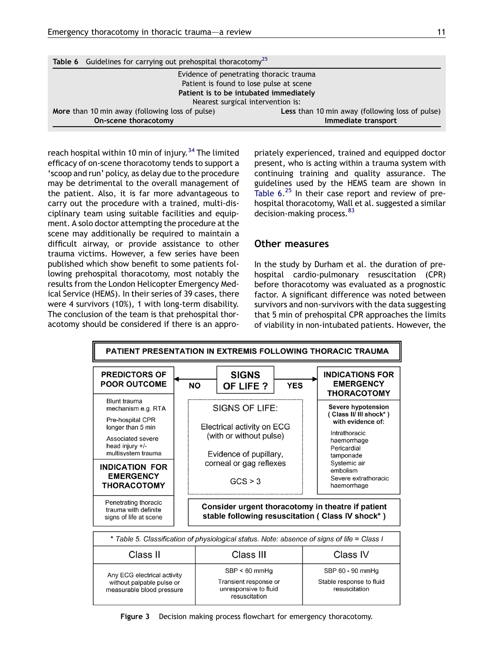<span id="page-10-0"></span>

| Table 6 Guidelines for carrying out prehospital thoracotomy <sup>25</sup> |                                                        |  |
|---------------------------------------------------------------------------|--------------------------------------------------------|--|
|                                                                           | Evidence of penetrating thoracic trauma                |  |
| Patient is found to lose pulse at scene                                   |                                                        |  |
| Patient is to be intubated immediately                                    |                                                        |  |
|                                                                           | Nearest surgical intervention is:                      |  |
| More than 10 min away (following loss of pulse)                           | <b>Less</b> than 10 min away (following loss of pulse) |  |
| On-scene thoracotomy                                                      | Immediate transport                                    |  |

reach hospital within 10 min of injury.<sup>[34](#page-16-0)</sup> The limited efficacy of on-scene thoracotomy tends to support a 'scoop and run' policy, as delay due to the procedure may be detrimental to the overall management of the patient. Also, it is far more advantageous to carry out the procedure with a trained, multi-disciplinary team using suitable facilities and equipment. A solo doctor attempting the procedure at the scene may additionally be required to maintain a difficult airway, or provide assistance to other trauma victims. However, a few series have been published which show benefit to some patients following prehospital thoracotomy, most notably the results from the London Helicopter Emergency Medical Service (HEMS). In their series of 39 cases, there were 4 survivors (10%), 1 with long-term disability. The conclusion of the team is that prehospital thoracotomy should be considered if there is an appro-

priately experienced, trained and equipped doctor present, who is acting within a trauma system with continuing training and quality assurance. The guidelines used by the HEMS team are shown in Table 6.<sup>[25](#page-16-0)</sup> In their case report and review of prehospital thoracotomy, Wall et al. suggested a similar decision-making process.<sup>[83](#page-17-0)</sup>

#### Other measures

In the study by Durham et al. the duration of prehospital cardio-pulmonary resuscitation (CPR) before thoracotomy was evaluated as a prognostic factor. A significant difference was noted between survivors and non-survivors with the data suggesting that 5 min of prehospital CPR approaches the limits of viability in non-intubated patients. However, the



Figure 3 Decision making process flowchart for emergency thoracotomy.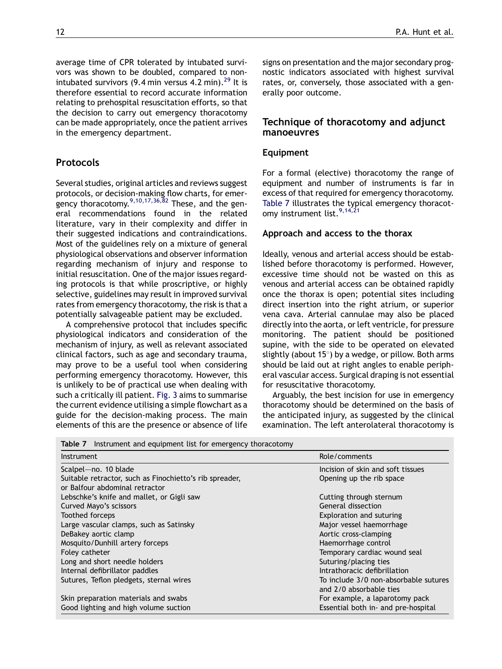average time of CPR tolerated by intubated survivors was shown to be doubled, compared to nonintubated survivors (9.4 min versus 4.2 min). $^{29}$  $^{29}$  $^{29}$  It is therefore essential to record accurate information relating to prehospital resuscitation efforts, so that the decision to carry out emergency thoracotomy can be made appropriately, once the patient arrives in the emergency department.

# **Protocols**

Several studies, original articles and reviews suggest protocols, or decision-making flow charts, for emer-gency thoracotomy.<sup>[9,10,17,36,82](#page-16-0)</sup> These, and the general recommendations found in the related literature, vary in their complexity and differ in their suggested indications and contraindications. Most of the guidelines rely on a mixture of general physiological observations and observer information regarding mechanism of injury and response to initial resuscitation. One of the major issues regarding protocols is that while proscriptive, or highly selective, guidelines may result in improved survival rates from emergency thoracotomy, the risk is that a potentially salvageable patient may be excluded.

A comprehensive protocol that includes specific physiological indicators and consideration of the mechanism of injury, as well as relevant associated clinical factors, such as age and secondary trauma, may prove to be a useful tool when considering performing emergency thoracotomy. However, this is unlikely to be of practical use when dealing with such a critically ill patient. [Fig. 3](#page-10-0) aims to summarise the current evidence utilising a simple flowchart as a guide for the decision-making process. The main elements of this are the presence or absence of life signs on presentation and the major secondary prognostic indicators associated with highest survival rates, or, conversely, those associated with a generally poor outcome.

# Technique of thoracotomy and adjunct manoeuvres

## Equipment

For a formal (elective) thoracotomy the range of equipment and number of instruments is far in excess of that required for emergency thoracotomy. Table 7 illustrates the typical emergency thoracot-omy instrument list.<sup>[9,14,21](#page-16-0)</sup>

## Approach and access to the thorax

Ideally, venous and arterial access should be established before thoracotomy is performed. However, excessive time should not be wasted on this as venous and arterial access can be obtained rapidly once the thorax is open; potential sites including direct insertion into the right atrium, or superior vena cava. Arterial cannulae may also be placed directly into the aorta, or left ventricle, for pressure monitoring. The patient should be positioned supine, with the side to be operated on elevated slightly (about 15*8*) by a wedge, or pillow. Both arms should be laid out at right angles to enable peripheral vascular access. Surgical draping is not essential for resuscitative thoracotomy.

Arguably, the best incision for use in emergency thoracotomy should be determined on the basis of the anticipated injury, as suggested by the clinical examination. The left anterolateral thoracotomy is

Table 7 Instrument and equipment list for emergency thoracotomy

| <b>Instrument</b>                                       | Role/comments                         |
|---------------------------------------------------------|---------------------------------------|
| Scalpel-no. 10 blade                                    | Incision of skin and soft tissues     |
| Suitable retractor, such as Finochietto's rib spreader, | Opening up the rib space              |
| or Balfour abdominal retractor                          |                                       |
| Lebschke's knife and mallet, or Gigli saw               | Cutting through sternum               |
| Curved Mayo's scissors                                  | General dissection                    |
| Toothed forceps                                         | Exploration and suturing              |
| Large vascular clamps, such as Satinsky                 | Major vessel haemorrhage              |
| DeBakey aortic clamp                                    | Aortic cross-clamping                 |
| Mosquito/Dunhill artery forceps                         | Haemorrhage control                   |
| Foley catheter                                          | Temporary cardiac wound seal          |
| Long and short needle holders                           | Suturing/placing ties                 |
| Internal defibrillator paddles                          | Intrathoracic defibrillation          |
| Sutures, Teflon pledgets, sternal wires                 | To include 3/0 non-absorbable sutures |
|                                                         | and 2/0 absorbable ties               |
| Skin preparation materials and swabs                    | For example, a laparotomy pack        |
| Good lighting and high volume suction                   | Essential both in- and pre-hospital   |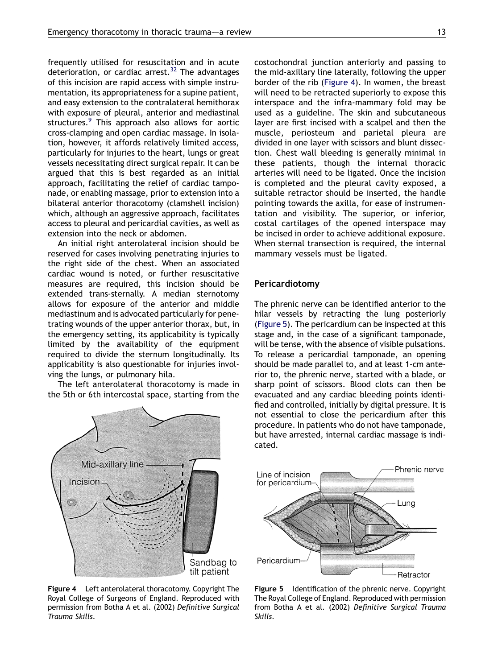frequently utilised for resuscitation and in acute deterioration, or cardiac arrest.<sup>[32](#page-16-0)</sup> The advantages of this incision are rapid access with simple instrumentation, its appropriateness for a supine patient, and easy extension to the contralateral hemithorax with exposure of pleural, anterior and mediastinal structures.<sup>[9](#page-16-0)</sup> This approach also allows for aortic cross-clamping and open cardiac massage. In isolation, however, it affords relatively limited access, particularly for injuries to the heart, lungs or great vessels necessitating direct surgical repair. It can be argued that this is best regarded as an initial approach, facilitating the relief of cardiac tamponade, or enabling massage, prior to extension into a bilateral anterior thoracotomy (clamshell incision) which, although an aggressive approach, facilitates access to pleural and pericardial cavities, as well as extension into the neck or abdomen.

An initial right anterolateral incision should be reserved for cases involving penetrating injuries to the right side of the chest. When an associated cardiac wound is noted, or further resuscitative measures are required, this incision should be extended trans-sternally. A median sternotomy allows for exposure of the anterior and middle mediastinum and is advocated particularly for penetrating wounds of the upper anterior thorax, but, in the emergency setting, its applicability is typically limited by the availability of the equipment required to divide the sternum longitudinally. Its applicability is also questionable for injuries involving the lungs, or pulmonary hila.

The left anterolateral thoracotomy is made in the 5th or 6th intercostal space, starting from the



Figure 4 Left anterolateral thoracotomy. Copyright The Royal College of Surgeons of England. Reproduced with permission from Botha A et al. (2002) Definitive Surgical Trauma Skills.

costochondral junction anteriorly and passing to the mid-axillary line laterally, following the upper border of the rib (Figure 4). In women, the breast will need to be retracted superiorly to expose this interspace and the infra-mammary fold may be used as a guideline. The skin and subcutaneous layer are first incised with a scalpel and then the muscle, periosteum and parietal pleura are divided in one layer with scissors and blunt dissection. Chest wall bleeding is generally minimal in these patients, though the internal thoracic arteries will need to be ligated. Once the incision is completed and the pleural cavity exposed, a suitable retractor should be inserted, the handle pointing towards the axilla, for ease of instrumentation and visibility. The superior, or inferior, costal cartilages of the opened interspace may be incised in order to achieve additional exposure. When sternal transection is required, the internal mammary vessels must be ligated.

#### Pericardiotomy

The phrenic nerve can be identified anterior to the hilar vessels by retracting the lung posteriorly (Figure 5). The pericardium can be inspected at this stage and, in the case of a significant tamponade, will be tense, with the absence of visible pulsations. To release a pericardial tamponade, an opening should be made parallel to, and at least 1-cm anterior to, the phrenic nerve, started with a blade, or sharp point of scissors. Blood clots can then be evacuated and any cardiac bleeding points identified and controlled, initially by digital pressure. It is not essential to close the pericardium after this procedure. In patients who do not have tamponade, but have arrested, internal cardiac massage is indicated.



Figure 5 Identification of the phrenic nerve. Copyright The Royal College of England. Reproduced with permission from Botha A et al. (2002) Definitive Surgical Trauma Skills.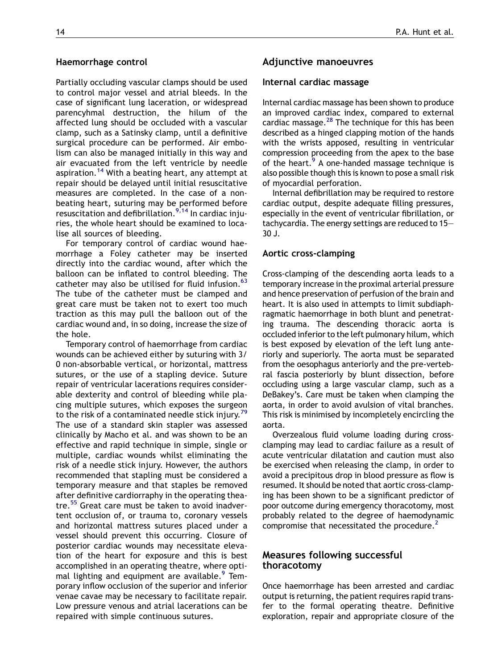#### Haemorrhage control

Partially occluding vascular clamps should be used to control major vessel and atrial bleeds. In the case of significant lung laceration, or widespread parencyhmal destruction, the hilum of the affected lung should be occluded with a vascular clamp, such as a Satinsky clamp, until a definitive surgical procedure can be performed. Air embolism can also be managed initially in this way and air evacuated from the left ventricle by needle aspiration.<sup>[14](#page-16-0)</sup> With a beating heart, any attempt at repair should be delayed until initial resuscitative measures are completed. In the case of a nonbeating heart, suturing may be performed before resuscitation and defibrillation.<sup>[9,14](#page-16-0)</sup> In cardiac injuries, the whole heart should be examined to localise all sources of bleeding.

For temporary control of cardiac wound haemorrhage a Foley catheter may be inserted directly into the cardiac wound, after which the balloon can be inflated to control bleeding. The catheter may also be utilised for fluid infusion.<sup>[63](#page-17-0)</sup> The tube of the catheter must be clamped and great care must be taken not to exert too much traction as this may pull the balloon out of the cardiac wound and, in so doing, increase the size of the hole.

Temporary control of haemorrhage from cardiac wounds can be achieved either by suturing with 3/ 0 non-absorbable vertical, or horizontal, mattress sutures, or the use of a stapling device. Suture repair of ventricular lacerations requires considerable dexterity and control of bleeding while placing multiple sutures, which exposes the surgeon to the risk of a contaminated needle stick injury.<sup>[79](#page-17-0)</sup> The use of a standard skin stapler was assessed clinically by Macho et al. and was shown to be an effective and rapid technique in simple, single or multiple, cardiac wounds whilst eliminating the risk of a needle stick injury. However, the authors recommended that stapling must be considered a temporary measure and that staples be removed after definitive cardiorraphy in the operating thea-tre.<sup>[55](#page-17-0)</sup> Great care must be taken to avoid inadvertent occlusion of, or trauma to, coronary vessels and horizontal mattress sutures placed under a vessel should prevent this occurring. Closure of posterior cardiac wounds may necessitate elevation of the heart for exposure and this is best accomplished in an operating theatre, where opti-mal lighting and equipment are available.<sup>[9](#page-16-0)</sup> Temporary inflow occlusion of the superior and inferior venae cavae may be necessary to facilitate repair. Low pressure venous and atrial lacerations can be repaired with simple continuous sutures.

## Adjunctive manoeuvres

#### Internal cardiac massage

Internal cardiac massage has been shown to produce an improved cardiac index, compared to external cardiac massage.<sup>[28](#page-16-0)</sup> The technique for this has been described as a hinged clapping motion of the hands with the wrists apposed, resulting in ventricular compression proceeding from the apex to the base of the heart.<sup>9</sup> A one-handed massage technique is also possible though this is known to pose a small risk of myocardial perforation.

Internal defibrillation may be required to restore cardiac output, despite adequate filling pressures, especially in the event of ventricular fibrillation, or tachycardia. The energy settings are reduced to 15— 30 J.

#### Aortic cross-clamping

Cross-clamping of the descending aorta leads to a temporary increase in the proximal arterial pressure and hence preservation of perfusion of the brain and heart. It is also used in attempts to limit subdiaphragmatic haemorrhage in both blunt and penetrating trauma. The descending thoracic aorta is occluded inferior to the left pulmonary hilum, which is best exposed by elevation of the left lung anteriorly and superiorly. The aorta must be separated from the oesophagus anteriorly and the pre-vertebral fascia posteriorly by blunt dissection, before occluding using a large vascular clamp, such as a DeBakey's. Care must be taken when clamping the aorta, in order to avoid avulsion of vital branches. This risk is minimised by incompletely encircling the aorta.

Overzealous fluid volume loading during crossclamping may lead to cardiac failure as a result of acute ventricular dilatation and caution must also be exercised when releasing the clamp, in order to avoid a precipitous drop in blood pressure as flow is resumed. It should be noted that aortic cross-clamping has been shown to be a significant predictor of poor outcome during emergency thoracotomy, most probably related to the degree of haemodynamic compromise that necessitated the procedure. $<sup>2</sup>$  $<sup>2</sup>$  $<sup>2</sup>$ </sup>

## Measures following successful thoracotomy

Once haemorrhage has been arrested and cardiac output is returning, the patient requires rapid transfer to the formal operating theatre. Definitive exploration, repair and appropriate closure of the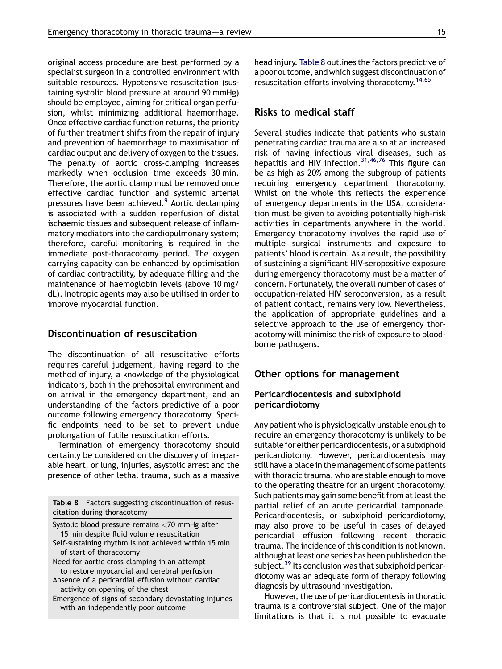original access procedure are best performed by a specialist surgeon in a controlled environment with suitable resources. Hypotensive resuscitation (sustaining systolic blood pressure at around 90 mmHg) should be employed, aiming for critical organ perfusion, whilst minimizing additional haemorrhage. Once effective cardiac function returns, the priority of further treatment shifts from the repair of injury and prevention of haemorrhage to maximisation of cardiac output and delivery of oxygen to the tissues. The penalty of aortic cross-clamping increases markedly when occlusion time exceeds 30 min. Therefore, the aortic clamp must be removed once effective cardiac function and systemic arterial pressures have been achieved.<sup>[9](#page-16-0)</sup> Aortic declamping is associated with a sudden reperfusion of distal ischaemic tissues and subsequent release of inflammatory mediators into the cardiopulmonary system; therefore, careful monitoring is required in the immediate post-thoracotomy period. The oxygen carrying capacity can be enhanced by optimisation of cardiac contractility, by adequate filling and the maintenance of haemoglobin levels (above 10 mg/ dL). Inotropic agents may also be utilised in order to improve myocardial function.

# Discontinuation of resuscitation

The discontinuation of all resuscitative efforts requires careful judgement, having regard to the method of injury, a knowledge of the physiological indicators, both in the prehospital environment and on arrival in the emergency department, and an understanding of the factors predictive of a poor outcome following emergency thoracotomy. Specific endpoints need to be set to prevent undue prolongation of futile resuscitation efforts.

Termination of emergency thoracotomy should certainly be considered on the discovery of irreparable heart, or lung, injuries, asystolic arrest and the presence of other lethal trauma, such as a massive

Table 8 Factors suggesting discontinuation of resuscitation during thoracotomy

Systolic blood pressure remains <70 mmHg after 15 min despite fluid volume resuscitation Self-sustaining rhythm is not achieved within 15 min of start of thoracotomy Need for aortic cross-clamping in an attempt to restore myocardial and cerebral perfusion Absence of a pericardial effusion without cardiac activity on opening of the chest

Emergence of signs of secondary devastating injuries with an independently poor outcome

head injury. Table 8 outlines the factors predictive of a poor outcome, and which suggest discontinuation of resuscitation efforts involving thoracotomy.<sup>14,65</sup>

# Risks to medical staff

Several studies indicate that patients who sustain penetrating cardiac trauma are also at an increased risk of having infectious viral diseases, such as hepatitis and HIV infection.<sup>[31,46,76](#page-16-0)</sup> This figure can be as high as 20% among the subgroup of patients requiring emergency department thoracotomy. Whilst on the whole this reflects the experience of emergency departments in the USA, consideration must be given to avoiding potentially high-risk activities in departments anywhere in the world. Emergency thoracotomy involves the rapid use of multiple surgical instruments and exposure to patients' blood is certain. As a result, the possibility of sustaining a significant HIV-seropositive exposure during emergency thoracotomy must be a matter of concern. Fortunately, the overall number of cases of occupation-related HIV seroconversion, as a result of patient contact, remains very low. Nevertheless, the application of appropriate guidelines and a selective approach to the use of emergency thoracotomy will minimise the risk of exposure to bloodborne pathogens.

## Other options for management

#### Pericardiocentesis and subxiphoid pericardiotomy

Any patient who is physiologically unstable enough to require an emergency thoracotomy is unlikely to be suitable for either pericardiocentesis, or a subxiphoid pericardiotomy. However, pericardiocentesis may still have a place in the management of some patients with thoracic trauma, who are stable enough to move to the operating theatre for an urgent thoracotomy. Such patients may gain some benefit from at least the partial relief of an acute pericardial tamponade. Pericardiocentesis, or subxiphoid pericardiotomy, may also prove to be useful in cases of delayed pericardial effusion following recent thoracic trauma. The incidence of this condition is not known, although at least one series has been published on the subject.<sup>[39](#page-17-0)</sup> Its conclusion was that subxiphoid pericardiotomy was an adequate form of therapy following diagnosis by ultrasound investigation.

However, the use of pericardiocentesis in thoracic trauma is a controversial subject. One of the major limitations is that it is not possible to evacuate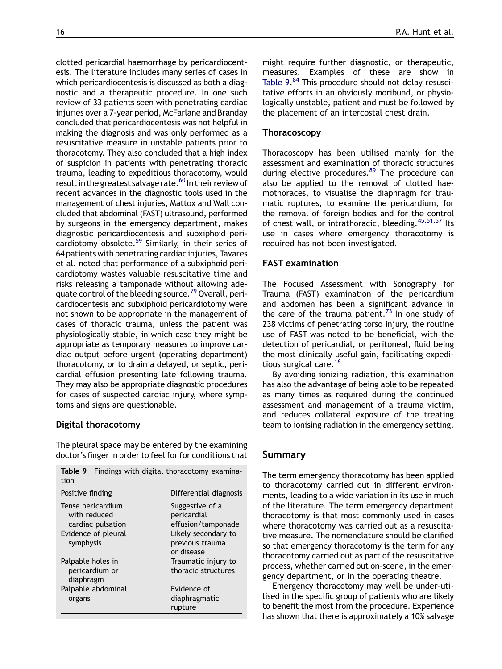clotted pericardial haemorrhage by pericardiocentesis. The literature includes many series of cases in which pericardiocentesis is discussed as both a diagnostic and a therapeutic procedure. In one such review of 33 patients seen with penetrating cardiac injuries over a 7-year period, McFarlane and Branday concluded that pericardiocentesis was not helpful in making the diagnosis and was only performed as a resuscitative measure in unstable patients prior to thoracotomy. They also concluded that a high index of suspicion in patients with penetrating thoracic trauma, leading to expeditious thoracotomy, would result in the greatest salvage rate.<sup>60</sup> In their review of recent advances in the diagnostic tools used in the management of chest injuries, Mattox and Wall concluded that abdominal (FAST) ultrasound, performed by surgeons in the emergency department, makes diagnostic pericardiocentesis and subxiphoid pericardiotomy obsolete.[59](#page-17-0) Similarly, in their series of 64 patients with penetrating cardiac injuries, Tavares et al. noted that performance of a subxiphoid pericardiotomy wastes valuable resuscitative time and risks releasing a tamponade without allowing ade-quate control of the bleeding source.<sup>[79](#page-17-0)</sup> Overall, pericardiocentesis and subxiphoid pericardiotomy were not shown to be appropriate in the management of cases of thoracic trauma, unless the patient was physiologically stable, in which case they might be appropriate as temporary measures to improve cardiac output before urgent (operating department) thoracotomy, or to drain a delayed, or septic, pericardial effusion presenting late following trauma. They may also be appropriate diagnostic procedures for cases of suspected cardiac injury, where symptoms and signs are questionable.

## Digital thoracotomy

The pleural space may be entered by the examining doctor's finger in order to feel for for conditions that

Table 9 Findings with digital thoracotomy examina-

| tion                |                        |
|---------------------|------------------------|
| Positive finding    | Differential diagnosis |
| Tense pericardium   | Suggestive of a        |
| with reduced        | pericardial            |
| cardiac pulsation   | effusion/tamponade     |
| Evidence of pleural | Likely secondary to    |
| symphysis           | previous trauma        |
|                     | or disease             |
| Palpable holes in   | Traumatic injury to    |
| pericardium or      | thoracic structures    |
| diaphragm           |                        |
| Palpable abdominal  | Evidence of            |
| organs              | diaphragmatic          |
|                     | rupture                |

might require further diagnostic, or therapeutic, measures. Examples of these are show in Table 9.<sup>[84](#page-18-0)</sup> This procedure should not delay resuscitative efforts in an obviously moribund, or physiologically unstable, patient and must be followed by the placement of an intercostal chest drain.

# Thoracoscopy

Thoracoscopy has been utilised mainly for the assessment and examination of thoracic structures during elective procedures.<sup>[89](#page-18-0)</sup> The procedure can also be applied to the removal of clotted haemothoraces, to visualise the diaphragm for traumatic ruptures, to examine the pericardium, for the removal of foreign bodies and for the control of chest wall, or intrathoracic, bleeding.<sup>[45,51,57](#page-17-0)</sup> Its use in cases where emergency thoracotomy is required has not been investigated.

# FAST examination

The Focused Assessment with Sonography for Trauma (FAST) examination of the pericardium and abdomen has been a significant advance in the care of the trauma patient.<sup>[73](#page-17-0)</sup> In one study of 238 victims of penetrating torso injury, the routine use of FAST was noted to be beneficial, with the detection of pericardial, or peritoneal, fluid being the most clinically useful gain, facilitating expedi-tious surgical care.<sup>[16](#page-16-0)</sup>

By avoiding ionizing radiation, this examination has also the advantage of being able to be repeated as many times as required during the continued assessment and management of a trauma victim, and reduces collateral exposure of the treating team to ionising radiation in the emergency setting.

# Summary

The term emergency thoracotomy has been applied to thoracotomy carried out in different environments, leading to a wide variation in its use in much of the literature. The term emergency department thoracotomy is that most commonly used in cases where thoracotomy was carried out as a resuscitative measure. The nomenclature should be clarified so that emergency thoracotomy is the term for any thoracotomy carried out as part of the resuscitative process, whether carried out on-scene, in the emergency department, or in the operating theatre.

Emergency thoracotomy may well be under-utilised in the specific group of patients who are likely to benefit the most from the procedure. Experience has shown that there is approximately a 10% salvage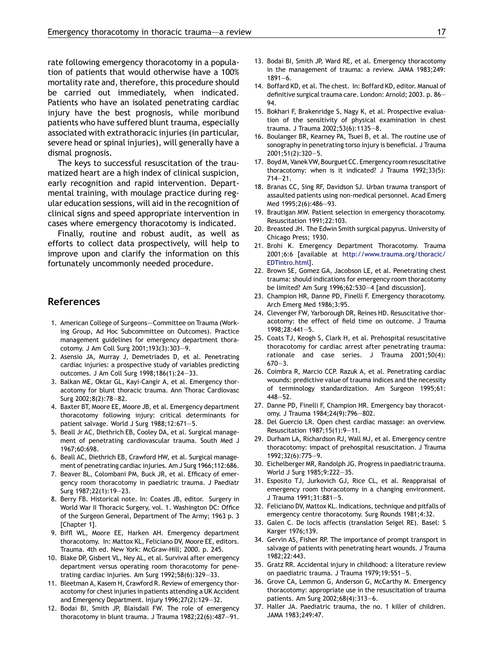<span id="page-16-0"></span>rate following emergency thoracotomy in a population of patients that would otherwise have a 100% mortality rate and, therefore, this procedure should be carried out immediately, when indicated. Patients who have an isolated penetrating cardiac injury have the best prognosis, while moribund patients who have suffered blunt trauma, especially associated with extrathoracic injuries (in particular, severe head or spinal injuries), will generally have a dismal prognosis.

The keys to successful resuscitation of the traumatized heart are a high index of clinical suspicion, early recognition and rapid intervention. Departmental training, with moulage practice during regular education sessions, will aid in the recognition of clinical signs and speed appropriate intervention in cases where emergency thoracotomy is indicated.

Finally, routine and robust audit, as well as efforts to collect data prospectively, will help to improve upon and clarify the information on this fortunately uncommonly needed procedure.

#### References

- 1. American College of Surgeons--Committee on Trauma (Working Group, Ad Hoc Subcommittee on Outcomes). Practice management guidelines for emergency department thoracotomy. J Am Coll Surg 2001;193(3):303—9.
- 2. Asensio JA, Murray J, Demetriades D, et al. Penetrating cardiac injuries: a prospective study of variables predicting outcomes. J Am Coll Surg 1998;186(1):24—33.
- 3. Balkan ME, Oktar GL, Kayi-Cangir A, et al. Emergency thoracotomy for blunt thoracic trauma. Ann Thorac Cardiovasc Surg 2002;8(2):78—82.
- 4. Baxter BT, Moore EE, Moore JB, et al. Emergency department thoracotomy following injury: critical determinants for patient salvage. World J Surg 1988;12:671—5.
- 5. Beall Jr AC, Diethrich EB, Cooley DA, et al. Surgical management of penetrating cardiovascular trauma. South Med J 1967;60:698.
- 6. Beall AC, Diethrich EB, Crawford HW, et al. Surgical management of penetrating cardiac injuries. Am J Surg 1966;112:686.
- 7. Beaver BL, Colombani PM, Buck JR, et al. Efficacy of emergency room thoracotomy in paediatric trauma. J Paediatr Surg 1987;22(1):19—23.
- 8. Berry FB. Historical note. In: Coates JB, editor. Surgery in World War II Thoracic Surgery, vol. 1. Washington DC: Office of the Surgeon General, Department of The Army; 1963 p. 3 [Chapter 1].
- 9. Biffl WL, Moore EE, Harken AH. Emergency department thoracotomy. In: Mattox KL, Feliciano DV, Moore EE, editors. Trauma. 4th ed. New York: McGraw-Hill; 2000. p. 245.
- 10. Blake DP, Gisbert VL, Ney AL, et al. Survival after emergency department versus operating room thoracotomy for penetrating cardiac injuries. Am Surg 1992;58(6):329—33.
- 11. Bleetman A, Kasem H, Crawford R. Review of emergency thoracotomy for chest injuries in patients attending a UK Accident and Emergency Department. Injury 1996;27(2):129—32.
- 12. Bodai BI, Smith JP, Blaisdall FW. The role of emergency thoracotomy in blunt trauma. J Trauma 1982;22(6):487—91.
- 13. Bodai BI, Smith JP, Ward RE, et al. Emergency thoracotomy in the management of trauma: a review. JAMA 1983;249: 1891—6.
- 14. Boffard KD, et al. The chest. In: Boffard KD, editor. Manual of definitive surgical trauma care. London: Arnold; 2003. p. 86— 94.
- 15. Bokhari F, Brakenridge S, Nagy K, et al. Prospective evaluation of the sensitivity of physical examination in chest trauma. J Trauma 2002;53(6):1135—8.
- 16. Boulanger BR, Kearney PA, Tsuei B, et al. The routine use of sonography in penetrating torso injury is beneficial. J Trauma 2001;51(2):320—5.
- 17. Boyd M, Vanek VW, Bourguet CC. Emergency room resuscitative thoracotomy: when is it indicated? J Trauma 1992;33(5): 714—21.
- 18. Branas CC, Sing RF, Davidson SJ. Urban trauma transport of assaulted patients using non-medical personnel. Acad Emerg Med 1995;2(6):486—93.
- 19. Brautigan MW. Patient selection in emergency thoracotomy. Resuscitation 1991;22:103.
- 20. Breasted JH. The Edwin Smith surgical papyrus. University of Chicago Press; 1930.
- 21. Brohi K. Emergency Department Thoracotomy. Trauma 2001;6:6 [available at [http://www.trauma.org/thoracic/](http://www.trauma.org/thoracic/EDTintro.html) [EDTintro.html](http://www.trauma.org/thoracic/EDTintro.html)].
- 22. Brown SE, Gomez GA, Jacobson LE, et al. Penetrating chest trauma: should indications for emergency room thoracotomy be limited? Am Surg 1996;62:530—4 [and discussion].
- 23. Champion HR, Danne PD, Finelli F. Emergency thoracotomy. Arch Emerg Med 1986;3:95.
- 24. Clevenger FW, Yarborough DR, Reines HD. Resuscitative thoracotomy: the effect of field time on outcome. J Trauma 1998;28:441—5.
- 25. Coats TJ, Keogh S, Clark H, et al. Prehospital resuscitative thoracotomy for cardiac arrest after penetrating trauma: rationale and case series. J Trauma 2001;50(4): 670—3.
- 26. Coimbra R, Marcio CCP. Razuk A, et al. Penetrating cardiac wounds: predictive value of trauma indices and the necessity of terminology standardization. Am Surgeon 1995;61: 448—52.
- 27. Danne PD, Finelli F, Champion HR. Emergency bay thoracotomy. J Trauma 1984;24(9):796—802.
- 28. Del Guercio LR. Open chest cardiac massage: an overview. Resuscitation 1987;15(1):9—11.
- 29. Durham LA, Richardson RJ, Wall MJ, et al. Emergency centre thoracotomy: impact of prehospital resuscitation. J Trauma 1992;32(6):775—9.
- 30. Eichelberger MR, Randolph JG. Progress in paediatric trauma. World J Surg 1985;9:222—35.
- 31. Esposito TJ, Jurkovich GJ, Rice CL, et al. Reappraisal of emergency room thoracotomy in a changing environment. J Trauma 1991;31:881—5.
- 32. Feliciano DV, Mattox KL. Indications, technique and pitfalls of emergency centre thoracotomy. Surg Rounds 1981;4:32.
- 33. Galen C. De locis affectis (translation Seigel RE). Basel: S Karger 1976;139.
- 34. Gervin AS, Fisher RP. The importance of prompt transport in salvage of patients with penetrating heart wounds. J Trauma 1982;22:443.
- 35. Gratz RR. Accidental injury in childhood: a literature review on paediatric trauma. J Trauma 1979;19:551—5.
- 36. Grove CA, Lemmon G, Anderson G, McCarthy M. Emergency thoracotomy: appropriate use in the resuscitation of trauma patients. Am Surg 2002;68(4):313—6.
- 37. Haller JA. Paediatric trauma, the no. 1 killer of children. JAMA 1983;249:47.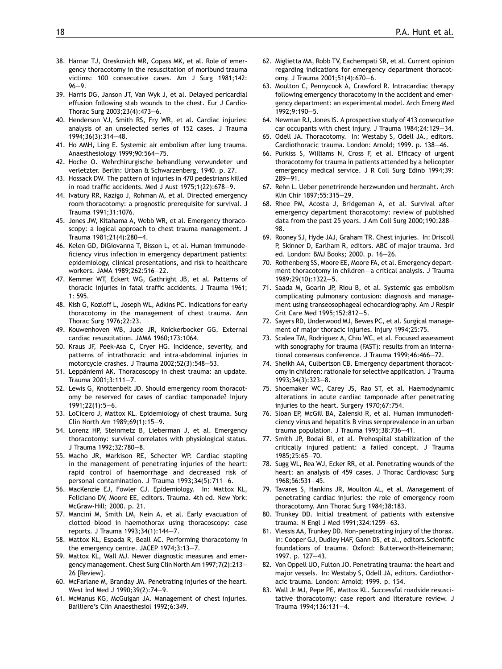- <span id="page-17-0"></span>38. Harnar TJ, Oreskovich MR, Copass MK, et al. Role of emergency thoracotomy in the resuscitation of moribund trauma victims: 100 consecutive cases. Am J Surg 1981;142: 96—9.
- 39. Harris DG, Janson JT, Van Wyk J, et al. Delayed pericardial effusion following stab wounds to the chest. Eur J Cardio-Thorac Surg 2003;23(4):473—6.
- 40. Henderson VJ, Smith RS, Fry WR, et al. Cardiac injuries: analysis of an unselected series of 152 cases. J Trauma 1994;36(3):314—48.
- 41. Ho AMH, Ling E. Systemic air embolism after lung trauma. Anaesthesiology 1999;90:564—75.
- 42. Hoche O. Wehrchirurgische behandlung verwundeter und verletzter. Berlin: Urban & Schwarzenberg, 1940. p. 27.
- 43. Hossack DW. The pattern of injuries in 470 pedestrians killed in road traffic accidents. Med J Aust 1975;1(22):678—9.
- 44. Ivatury RR, Kazigo J, Rohman M, et al. Directed emergency room thoracotomy: a prognostic prerequisite for survival. J Trauma 1991;31:1076.
- 45. Jones JW, Kitahama A, Webb WR, et al. Emergency thoracoscopy: a logical approach to chest trauma management. J Trauma 1981;21(4):280—4.
- 46. Kelen GD, DiGiovanna T, Bisson L, et al. Human immunodeficiency virus infection in emergency department patients: epidemiology, clinical presentations, and risk to healthcare workers. JAMA 1989;262:516—22.
- 47. Kemmer WT, Eckert WG, Gathright JB, et al. Patterns of thoracic injuries in fatal traffic accidents. J Trauma 1961; 1: 595.
- 48. Kish G, Kozloff L, Joseph WL, Adkins PC. Indications for early thoracotomy in the management of chest trauma. Ann Thorac Surg 1976;22:23.
- 49. Kouwenhoven WB, Jude JR, Knickerbocker GG. External cardiac resuscitation. JAMA 1960;173:1064.
- 50. Kraus JF, Peek-Asa C, Cryer HG. Incidence, severity, and patterns of intrathoracic and intra-abdominal injuries in motorcycle crashes. J Trauma 2002;52(3):548—53.
- 51. Leppäniemi AK. Thoracoscopy in chest trauma: an update. Trauma 2001;3:111—7.
- 52. Lewis G, Knottenbelt JD. Should emergency room thoracotomy be reserved for cases of cardiac tamponade? Injury  $1991:22(1):5-6.$
- 53. LoCicero J, Mattox KL. Epidemiology of chest trauma. Surg Clin North Am 1989;69(1):15—9.
- 54. Lorenz HP, Steinmetz B, Lieberman J, et al. Emergency thoracotomy: survival correlates with physiological status. J Trauma 1992;32:780—8.
- 55. Macho JR, Markison RE, Schecter WP. Cardiac stapling in the management of penetrating injuries of the heart: rapid control of haemorrhage and decreased risk of personal contamination. J Trauma 1993;34(5):711—6.
- 56. MacKenzie EJ, Fowler CJ. Epidemiology. In: Mattox KL, Feliciano DV, Moore EE, editors. Trauma. 4th ed. New York: McGraw-Hill; 2000. p. 21.
- 57. Mancini M, Smith LM, Nein A, et al. Early evacuation of clotted blood in haemothorax using thoracoscopy: case reports. J Trauma 1993;34(1):144—7.
- 58. Mattox KL, Espada R, Beall AC. Performing thoracotomy in the emergency centre. JACEP 1974;3:13—7.
- 59. Mattox KL, Wall MJ. Newer diagnostic measures and emergency management. Chest Surg Clin North Am 1997;7(2):213— 26 [Review].
- 60. McFarlane M, Branday JM. Penetrating injuries of the heart. West Ind Med J 1990;39(2):74—9.
- 61. McManus KG, McGuigan JA. Management of chest injuries. Bailliere's Clin Anaesthesiol 1992;6:349.
- 62. Miglietta MA, Robb TV, Eachempati SR, et al. Current opinion regarding indications for emergency department thoracotomy. J Trauma 2001;51(4):670—6.
- 63. Moulton C, Pennycook A, Crawford R. Intracardiac therapy following emergency thoracotomy in the accident and emergency department: an experimental model. Arch Emerg Med 1992;9:190—5.
- 64. Newman RJ, Jones IS. A prospective study of 413 consecutive car occupants with chest injury. J Trauma 1984;24:129—34.
- 65. Odell JA. Thoracotomy. In: Westaby S, Odell JA., editors. Cardiothoracic trauma. London: Arnold; 1999. p. 138—46.
- 66. Purkiss S, Williams N, Cross F, et al. Efficacy of urgent thoracotomy for trauma in patients attended by a helicopter emergency medical service. J R Coll Surg Edinb 1994;39: 289—91.
- 67. Rehn L. Ueber penetrirende herzwunden und herznaht. Arch Klin Chir 1897;55:315—29.
- 68. Rhee PM, Acosta J, Bridgeman A, et al. Survival after emergency department thoracotomy: review of published data from the past 25 years. J Am Coll Surg 2000;190:288— 98.
- 69. Rooney SJ, Hyde JAJ, Graham TR. Chest injuries. In: Driscoll P, Skinner D, Earlham R, editors. ABC of major trauma. 3rd ed. London: BMJ Books; 2000. p. 16—26.
- 70. Rothenberg SS, Moore EE, Moore FA, et al. Emergency department thoracotomy in children-a critical analysis. J Trauma 1989;29(10):1322—5.
- 71. Saada M, Goarin JP, Riou B, et al. Systemic gas embolism complicating pulmonary contusion: diagnosis and management using transeosophageal echocardiography. Am J Respir Crit Care Med 1995;152:812—5.
- 72. Sayers RD, Underwood MJ, Bewes PC, et al. Surgical management of major thoracic injuries. Injury 1994;25:75.
- 73. Scalea TM, Rodriguez A, Chiu WC, et al. Focused assessment with sonography for trauma (FAST): results from an international consensus conference. J Trauma 1999;46:466—72.
- 74. Sheikh AA, Culbertson CB. Emergency department thoracotomy in children: rationale for selective application. J Trauma 1993;34(3):323—8.
- 75. Shoemaker WC, Carey JS, Rao ST, et al. Haemodynamic alterations in acute cardiac tamponade after penetrating injuries to the heart. Surgery 1970;67:754.
- 76. Sloan EP, McGill BA, Zalenski R, et al. Human immunodeficiency virus and hepatitis B virus seroprevalence in an urban trauma population. J Trauma 1995;38:736—41.
- 77. Smith JP, Bodai BI, et al. Prehospital stabilization of the critically injured patient: a failed concept. J Trauma 1985;25:65—70.
- 78. Sugg WL, Rea WJ, Ecker RR, et al. Penetrating wounds of the heart: an analysis of 459 cases. J Thorac Cardiovasc Surg 1968;56:531—45.
- 79. Tavares S, Hankins JR, Moulton AL, et al. Management of penetrating cardiac injuries: the role of emergency room thoracotomy. Ann Thorac Surg 1984;38:183.
- 80. Trunkey DD. Initial treatment of patients with extensive trauma. N Engl J Med 1991;324:1259—63.
- 81. Vlessis AA, Trunkey DD. Non-penetrating injury of the thorax. In: Cooper GJ, Dudley HAF, Gann DS, et al., editors.Scientific foundations of trauma. Oxford: Butterworth-Heinemann; 1997. p. 127—43.
- 82. Von Oppell UO, Fulton JO. Penetrating trauma: the heart and major vessels. In: Westaby S, Odell JA, editors. Cardiothoracic trauma. London: Arnold; 1999. p. 154.
- 83. Wall Jr MJ, Pepe PE, Mattox KL. Successful roadside resuscitative thoracotomy: case report and literature review. J Trauma 1994;136:131—4.